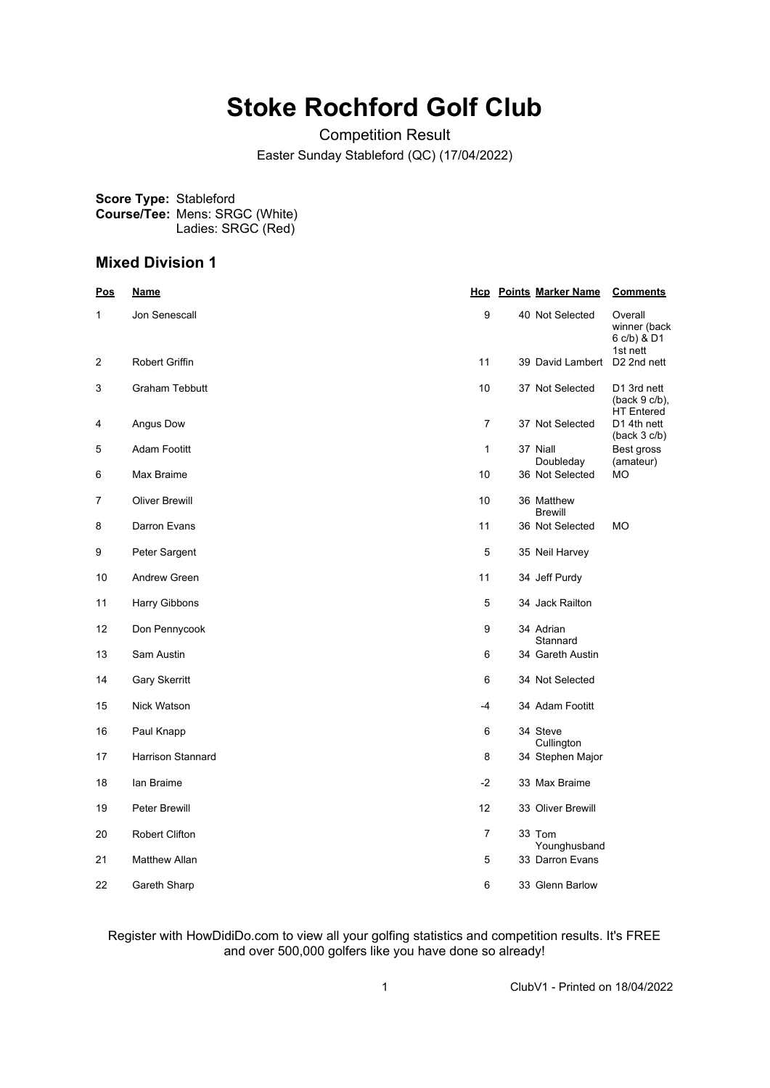# **Stoke Rochford Golf Club**

Competition Result Easter Sunday Stableford (QC) (17/04/2022)

**Score Type:** Stableford **Course/Tee:** Mens: SRGC (White) Ladies: SRGC (Red)

### **Mixed Division 1**

| <b>Pos</b>     | <u>Name</u>           |                | <b>Hcp</b> Points Marker Name   | <b>Comments</b>                                  |
|----------------|-----------------------|----------------|---------------------------------|--------------------------------------------------|
| 1              | Jon Senescall         | 9              | 40 Not Selected                 | Overall<br>winner (back<br>6 c/b) & D1           |
| 2              | Robert Griffin        | 11             | 39 David Lambert                | 1st nett<br>D <sub>2</sub> 2nd nett              |
| 3              | <b>Graham Tebbutt</b> | 10             | 37 Not Selected                 | D1 3rd nett<br>$(back 9 c/b)$ ,                  |
| 4              | Angus Dow             | 7              | 37 Not Selected                 | <b>HT</b> Entered<br>D1 4th nett<br>(back 3 c/b) |
| 5              | <b>Adam Footitt</b>   | $\mathbf{1}$   | 37 Niall<br>Doubleday           | Best gross<br>(amateur)                          |
| 6              | Max Braime            | 10             | 36 Not Selected                 | МO                                               |
| $\overline{7}$ | <b>Oliver Brewill</b> | 10             | 36 Matthew<br><b>Brewill</b>    |                                                  |
| 8              | Darron Evans          | 11             | 36 Not Selected                 | <b>MO</b>                                        |
| 9              | Peter Sargent         | 5              | 35 Neil Harvey                  |                                                  |
| 10             | Andrew Green          | 11             | 34 Jeff Purdy                   |                                                  |
| 11             | Harry Gibbons         | 5              | 34 Jack Railton                 |                                                  |
| 12             | Don Pennycook         | 9              | 34 Adrian<br>Stannard           |                                                  |
| 13             | Sam Austin            | 6              | 34 Gareth Austin                |                                                  |
| 14             | <b>Gary Skerritt</b>  | 6              | 34 Not Selected                 |                                                  |
| 15             | Nick Watson           | -4             | 34 Adam Footitt                 |                                                  |
| 16             | Paul Knapp            | 6              | 34 Steve                        |                                                  |
| 17             | Harrison Stannard     | 8              | Cullington<br>34 Stephen Major  |                                                  |
| 18             | lan Braime            | $-2$           | 33 Max Braime                   |                                                  |
| 19             | <b>Peter Brewill</b>  | 12             | 33 Oliver Brewill               |                                                  |
| 20             | <b>Robert Clifton</b> | $\overline{7}$ | 33 Tom                          |                                                  |
| 21             | Matthew Allan         | 5              | Younghusband<br>33 Darron Evans |                                                  |
| 22             | Gareth Sharp          | 6              | 33 Glenn Barlow                 |                                                  |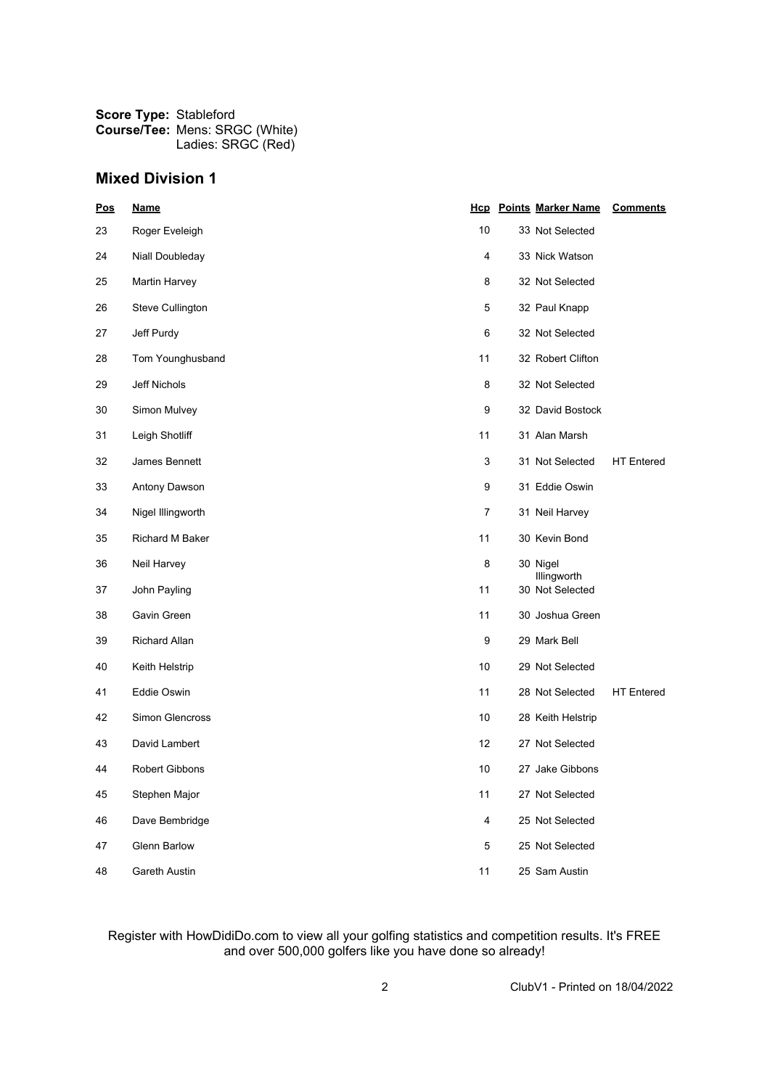## **Mixed Division 1**

| <b>Pos</b> | <b>Name</b>            |                | <b>Hcp</b> Points Marker Name<br><b>Comments</b> |
|------------|------------------------|----------------|--------------------------------------------------|
| 23         | Roger Eveleigh         | 10             | 33 Not Selected                                  |
| 24         | Niall Doubleday        | 4              | 33 Nick Watson                                   |
| 25         | Martin Harvey          | 8              | 32 Not Selected                                  |
| 26         | Steve Cullington       | 5              | 32 Paul Knapp                                    |
| 27         | Jeff Purdy             | 6              | 32 Not Selected                                  |
| 28         | Tom Younghusband       | 11             | 32 Robert Clifton                                |
| 29         | Jeff Nichols           | 8              | 32 Not Selected                                  |
| 30         | Simon Mulvey           | 9              | 32 David Bostock                                 |
| 31         | Leigh Shotliff         | 11             | 31 Alan Marsh                                    |
| 32         | James Bennett          | 3              | 31 Not Selected<br><b>HT</b> Entered             |
| 33         | Antony Dawson          | 9              | 31 Eddie Oswin                                   |
| 34         | Nigel Illingworth      | 7              | 31 Neil Harvey                                   |
| 35         | <b>Richard M Baker</b> | 11             | 30 Kevin Bond                                    |
| 36         | Neil Harvey            | 8              | 30 Nigel<br>Illingworth                          |
| 37         | John Payling           | 11             | 30 Not Selected                                  |
| 38         | Gavin Green            | 11             | 30 Joshua Green                                  |
| 39         | <b>Richard Allan</b>   | 9              | 29 Mark Bell                                     |
| 40         | Keith Helstrip         | 10             | 29 Not Selected                                  |
| 41         | Eddie Oswin            | 11             | 28 Not Selected<br><b>HT</b> Entered             |
| 42         | Simon Glencross        | 10             | 28 Keith Helstrip                                |
| 43         | David Lambert          | 12             | 27 Not Selected                                  |
| 44         | <b>Robert Gibbons</b>  | 10             | 27 Jake Gibbons                                  |
| 45         | Stephen Major          | 11             | 27 Not Selected                                  |
| 46         | Dave Bembridge         | $\overline{4}$ | 25 Not Selected                                  |
| 47         | <b>Glenn Barlow</b>    | 5              | 25 Not Selected                                  |
| 48         | Gareth Austin          | 11             | 25 Sam Austin                                    |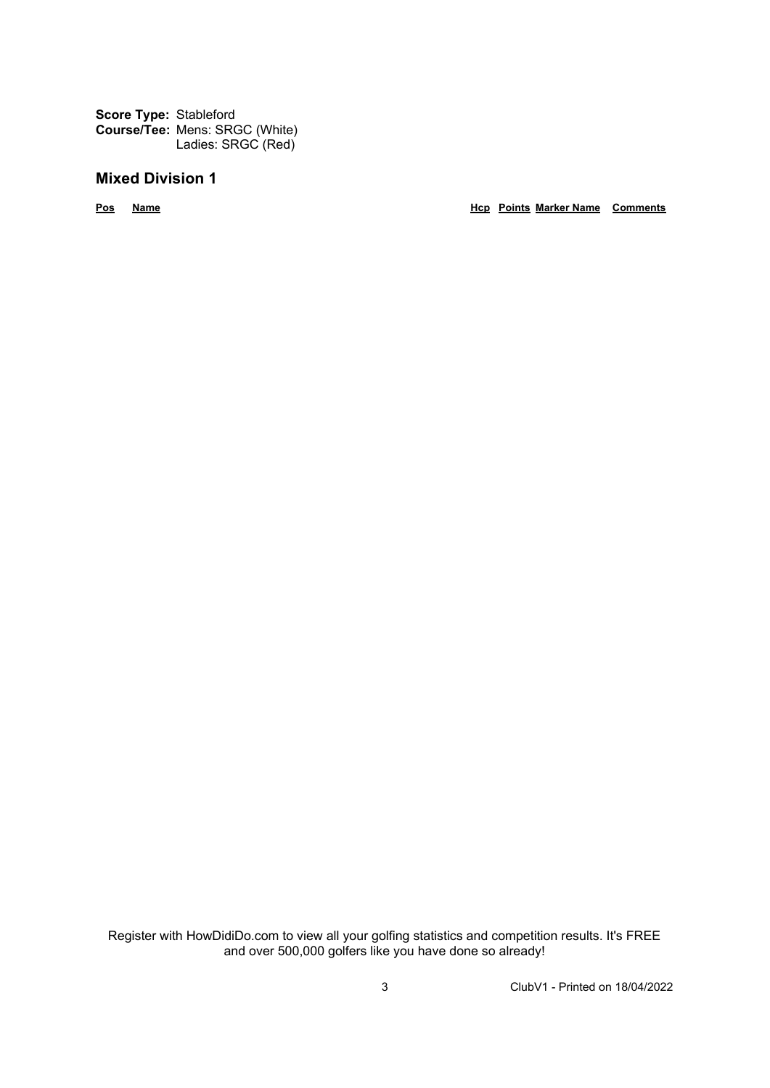**Score Type:** Stableford **Course/Tee:** Mens: SRGC (White) Ladies: SRGC (Red)

## **Mixed Division 1**

**Pos Name Hcp Points Marker Name Comments**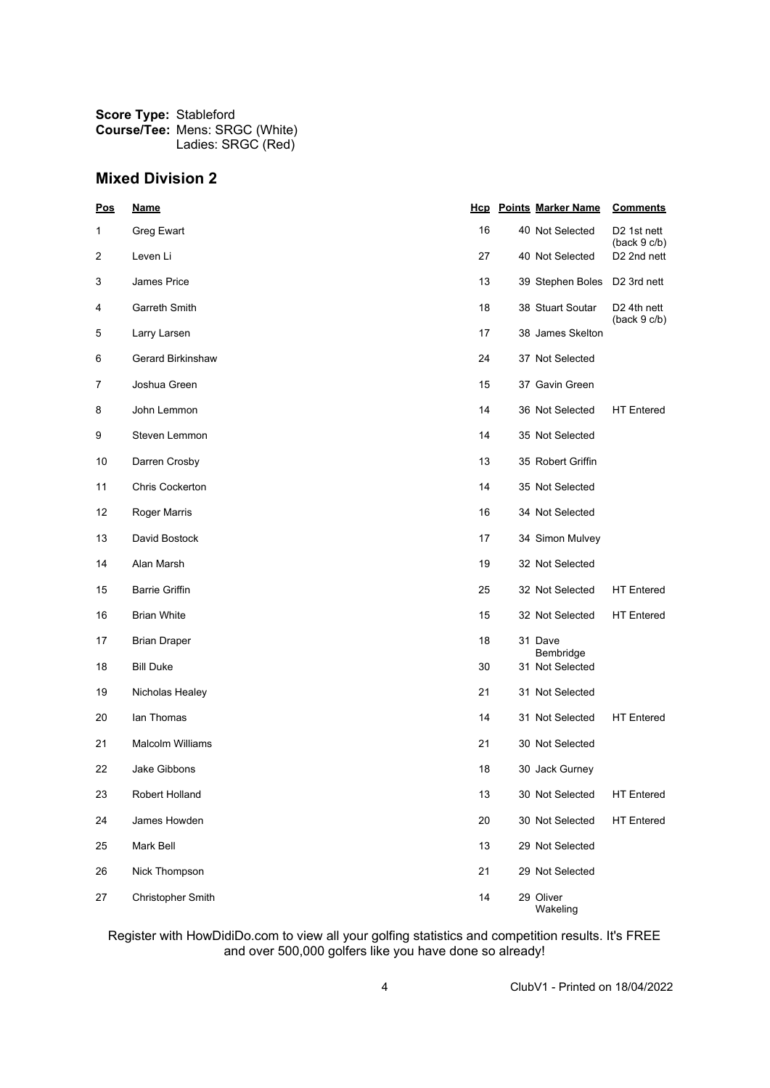## **Mixed Division 2**

| Pos | <b>Name</b>            |    | <b>Hcp</b> Points Marker Name | <b>Comments</b>                         |
|-----|------------------------|----|-------------------------------|-----------------------------------------|
| 1   | Greg Ewart             | 16 | 40 Not Selected               | D <sub>2</sub> 1st nett<br>(back 9 c/b) |
| 2   | Leven Li               | 27 | 40 Not Selected               | D <sub>2</sub> 2nd nett                 |
| 3   | James Price            | 13 | 39 Stephen Boles              | D2 3rd nett                             |
| 4   | Garreth Smith          | 18 | 38 Stuart Soutar              | D <sub>2</sub> 4th nett<br>(back 9 c/b) |
| 5   | Larry Larsen           | 17 | 38 James Skelton              |                                         |
| 6   | Gerard Birkinshaw      | 24 | 37 Not Selected               |                                         |
| 7   | Joshua Green           | 15 | 37 Gavin Green                |                                         |
| 8   | John Lemmon            | 14 | 36 Not Selected               | <b>HT</b> Entered                       |
| 9   | Steven Lemmon          | 14 | 35 Not Selected               |                                         |
| 10  | Darren Crosby          | 13 | 35 Robert Griffin             |                                         |
| 11  | <b>Chris Cockerton</b> | 14 | 35 Not Selected               |                                         |
| 12  | Roger Marris           | 16 | 34 Not Selected               |                                         |
| 13  | David Bostock          | 17 | 34 Simon Mulvey               |                                         |
| 14  | Alan Marsh             | 19 | 32 Not Selected               |                                         |
| 15  | <b>Barrie Griffin</b>  | 25 | 32 Not Selected               | <b>HT</b> Entered                       |
| 16  | <b>Brian White</b>     | 15 | 32 Not Selected               | <b>HT</b> Entered                       |
| 17  | <b>Brian Draper</b>    | 18 | 31 Dave<br>Bembridge          |                                         |
| 18  | <b>Bill Duke</b>       | 30 | 31 Not Selected               |                                         |
| 19  | Nicholas Healey        | 21 | 31 Not Selected               |                                         |
| 20  | lan Thomas             | 14 | 31 Not Selected               | <b>HT</b> Entered                       |
| 21  | Malcolm Williams       | 21 | 30 Not Selected               |                                         |
| 22  | <b>Jake Gibbons</b>    | 18 | 30 Jack Gurney                |                                         |
| 23  | Robert Holland         | 13 | 30 Not Selected               | <b>HT Entered</b>                       |
| 24  | James Howden           | 20 | 30 Not Selected               | <b>HT</b> Entered                       |
| 25  | Mark Bell              | 13 | 29 Not Selected               |                                         |
| 26  | Nick Thompson          | 21 | 29 Not Selected               |                                         |
| 27  | Christopher Smith      | 14 | 29 Oliver<br>Wakeling         |                                         |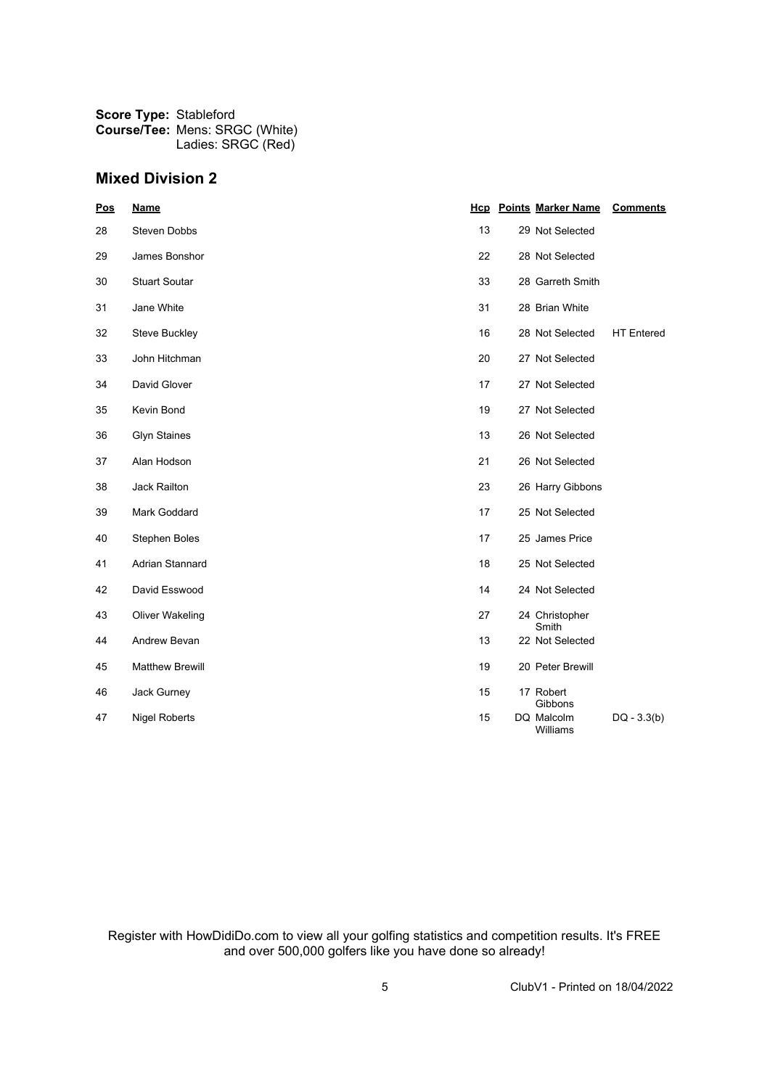## **Mixed Division 2**

| Pos | <b>Name</b>            |    | <b>Hcp</b> Points Marker Name | <b>Comments</b>   |
|-----|------------------------|----|-------------------------------|-------------------|
| 28  | Steven Dobbs           | 13 | 29 Not Selected               |                   |
| 29  | James Bonshor          | 22 | 28 Not Selected               |                   |
| 30  | <b>Stuart Soutar</b>   | 33 | 28 Garreth Smith              |                   |
| 31  | Jane White             | 31 | 28 Brian White                |                   |
| 32  | Steve Buckley          | 16 | 28 Not Selected               | <b>HT</b> Entered |
| 33  | John Hitchman          | 20 | 27 Not Selected               |                   |
| 34  | David Glover           | 17 | 27 Not Selected               |                   |
| 35  | Kevin Bond             | 19 | 27 Not Selected               |                   |
| 36  | <b>Glyn Staines</b>    | 13 | 26 Not Selected               |                   |
| 37  | Alan Hodson            | 21 | 26 Not Selected               |                   |
| 38  | Jack Railton           | 23 | 26 Harry Gibbons              |                   |
| 39  | Mark Goddard           | 17 | 25 Not Selected               |                   |
| 40  | Stephen Boles          | 17 | 25 James Price                |                   |
| 41  | Adrian Stannard        | 18 | 25 Not Selected               |                   |
| 42  | David Esswood          | 14 | 24 Not Selected               |                   |
| 43  | <b>Oliver Wakeling</b> | 27 | 24 Christopher<br>Smith       |                   |
| 44  | Andrew Bevan           | 13 | 22 Not Selected               |                   |
| 45  | <b>Matthew Brewill</b> | 19 | 20 Peter Brewill              |                   |
| 46  | Jack Gurney            | 15 | 17 Robert<br>Gibbons          |                   |
| 47  | <b>Nigel Roberts</b>   | 15 | DQ Malcolm<br>Williams        | $DQ - 3.3(b)$     |